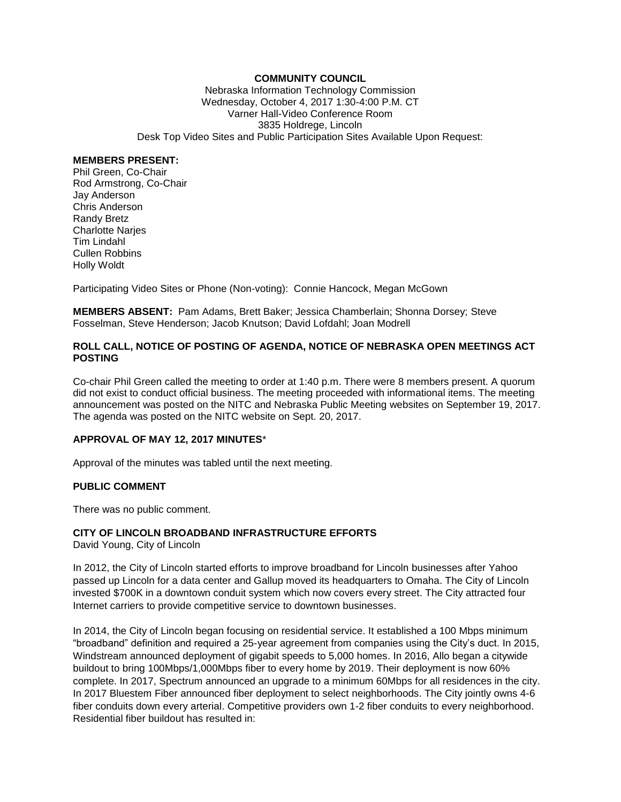## **COMMUNITY COUNCIL**

Nebraska Information Technology Commission Wednesday, October 4, 2017 1:30-4:00 P.M. CT Varner Hall-Video Conference Room 3835 Holdrege, Lincoln Desk Top Video Sites and Public Participation Sites Available Upon Request:

#### **MEMBERS PRESENT:**

Phil Green, Co-Chair Rod Armstrong, Co-Chair Jay Anderson Chris Anderson Randy Bretz Charlotte Narjes Tim Lindahl Cullen Robbins Holly Woldt

Participating Video Sites or Phone (Non-voting): Connie Hancock, Megan McGown

**MEMBERS ABSENT:** Pam Adams, Brett Baker; Jessica Chamberlain; Shonna Dorsey; Steve Fosselman, Steve Henderson; Jacob Knutson; David Lofdahl; Joan Modrell

### **ROLL CALL, NOTICE OF POSTING OF AGENDA, NOTICE OF NEBRASKA OPEN MEETINGS ACT POSTING**

Co-chair Phil Green called the meeting to order at 1:40 p.m. There were 8 members present. A quorum did not exist to conduct official business. The meeting proceeded with informational items. The meeting announcement was posted on the NITC and Nebraska Public Meeting websites on September 19, 2017. The agenda was posted on the NITC website on Sept. 20, 2017.

### **APPROVAL OF MAY 12, 2017 MINUTES**\*

Approval of the minutes was tabled until the next meeting.

### **PUBLIC COMMENT**

There was no public comment.

### **CITY OF LINCOLN BROADBAND INFRASTRUCTURE EFFORTS**

David Young, City of Lincoln

In 2012, the City of Lincoln started efforts to improve broadband for Lincoln businesses after Yahoo passed up Lincoln for a data center and Gallup moved its headquarters to Omaha. The City of Lincoln invested \$700K in a downtown conduit system which now covers every street. The City attracted four Internet carriers to provide competitive service to downtown businesses.

In 2014, the City of Lincoln began focusing on residential service. It established a 100 Mbps minimum "broadband" definition and required a 25-year agreement from companies using the City's duct. In 2015, Windstream announced deployment of gigabit speeds to 5,000 homes. In 2016, Allo began a citywide buildout to bring 100Mbps/1,000Mbps fiber to every home by 2019. Their deployment is now 60% complete. In 2017, Spectrum announced an upgrade to a minimum 60Mbps for all residences in the city. In 2017 Bluestem Fiber announced fiber deployment to select neighborhoods. The City jointly owns 4-6 fiber conduits down every arterial. Competitive providers own 1-2 fiber conduits to every neighborhood. Residential fiber buildout has resulted in: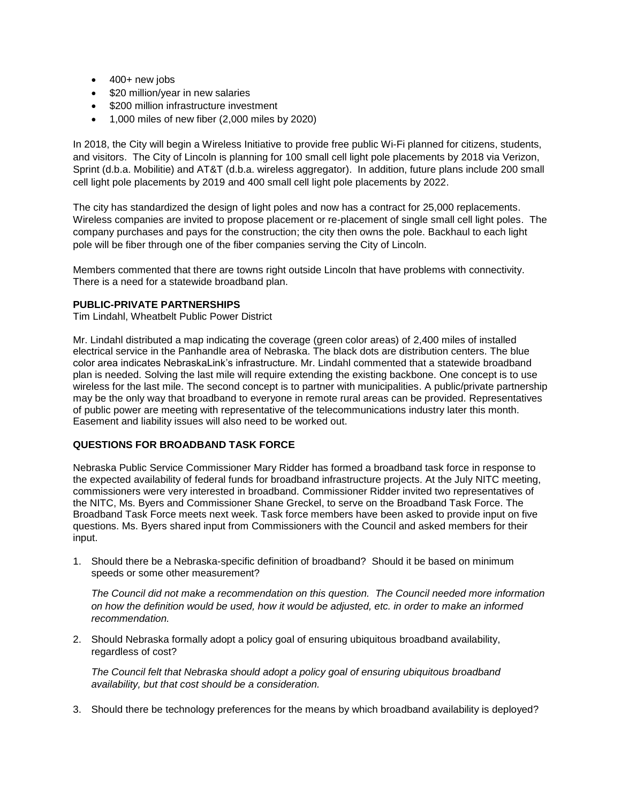- $\bullet$  400+ new jobs
- \$20 million/year in new salaries
- \$200 million infrastructure investment
- $\bullet$  1,000 miles of new fiber (2,000 miles by 2020)

In 2018, the City will begin a Wireless Initiative to provide free public Wi-Fi planned for citizens, students, and visitors. The City of Lincoln is planning for 100 small cell light pole placements by 2018 via Verizon, Sprint (d.b.a. Mobilitie) and AT&T (d.b.a. wireless aggregator). In addition, future plans include 200 small cell light pole placements by 2019 and 400 small cell light pole placements by 2022.

The city has standardized the design of light poles and now has a contract for 25,000 replacements. Wireless companies are invited to propose placement or re-placement of single small cell light poles. The company purchases and pays for the construction; the city then owns the pole. Backhaul to each light pole will be fiber through one of the fiber companies serving the City of Lincoln.

Members commented that there are towns right outside Lincoln that have problems with connectivity. There is a need for a statewide broadband plan.

## **PUBLIC-PRIVATE PARTNERSHIPS**

Tim Lindahl, Wheatbelt Public Power District

Mr. Lindahl distributed a map indicating the coverage (green color areas) of 2,400 miles of installed electrical service in the Panhandle area of Nebraska. The black dots are distribution centers. The blue color area indicates NebraskaLink's infrastructure. Mr. Lindahl commented that a statewide broadband plan is needed. Solving the last mile will require extending the existing backbone. One concept is to use wireless for the last mile. The second concept is to partner with municipalities. A public/private partnership may be the only way that broadband to everyone in remote rural areas can be provided. Representatives of public power are meeting with representative of the telecommunications industry later this month. Easement and liability issues will also need to be worked out.

# **QUESTIONS FOR BROADBAND TASK FORCE**

Nebraska Public Service Commissioner Mary Ridder has formed a broadband task force in response to the expected availability of federal funds for broadband infrastructure projects. At the July NITC meeting, commissioners were very interested in broadband. Commissioner Ridder invited two representatives of the NITC, Ms. Byers and Commissioner Shane Greckel, to serve on the Broadband Task Force. The Broadband Task Force meets next week. Task force members have been asked to provide input on five questions. Ms. Byers shared input from Commissioners with the Council and asked members for their input.

1. Should there be a Nebraska-specific definition of broadband? Should it be based on minimum speeds or some other measurement?

*The Council did not make a recommendation on this question. The Council needed more information on how the definition would be used, how it would be adjusted, etc. in order to make an informed recommendation.*

2. Should Nebraska formally adopt a policy goal of ensuring ubiquitous broadband availability, regardless of cost?

*The Council felt that Nebraska should adopt a policy goal of ensuring ubiquitous broadband availability, but that cost should be a consideration.*

3. Should there be technology preferences for the means by which broadband availability is deployed?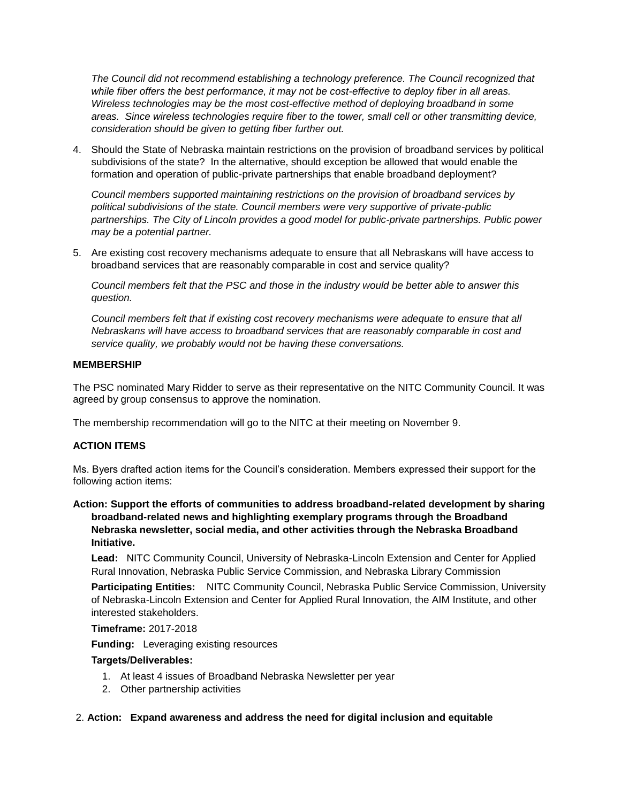*The Council did not recommend establishing a technology preference. The Council recognized that while fiber offers the best performance, it may not be cost-effective to deploy fiber in all areas. Wireless technologies may be the most cost-effective method of deploying broadband in some areas. Since wireless technologies require fiber to the tower, small cell or other transmitting device, consideration should be given to getting fiber further out.* 

4. Should the State of Nebraska maintain restrictions on the provision of broadband services by political subdivisions of the state? In the alternative, should exception be allowed that would enable the formation and operation of public-private partnerships that enable broadband deployment?

*Council members supported maintaining restrictions on the provision of broadband services by political subdivisions of the state. Council members were very supportive of private-public partnerships. The City of Lincoln provides a good model for public-private partnerships. Public power may be a potential partner.*

5. Are existing cost recovery mechanisms adequate to ensure that all Nebraskans will have access to broadband services that are reasonably comparable in cost and service quality?

*Council members felt that the PSC and those in the industry would be better able to answer this question.* 

*Council members felt that if existing cost recovery mechanisms were adequate to ensure that all Nebraskans will have access to broadband services that are reasonably comparable in cost and service quality, we probably would not be having these conversations.*

## **MEMBERSHIP**

The PSC nominated Mary Ridder to serve as their representative on the NITC Community Council. It was agreed by group consensus to approve the nomination.

The membership recommendation will go to the NITC at their meeting on November 9.

# **ACTION ITEMS**

Ms. Byers drafted action items for the Council's consideration. Members expressed their support for the following action items:

# **Action: Support the efforts of communities to address broadband-related development by sharing broadband-related news and highlighting exemplary programs through the Broadband Nebraska newsletter, social media, and other activities through the Nebraska Broadband Initiative.**

**Lead:** NITC Community Council, University of Nebraska-Lincoln Extension and Center for Applied Rural Innovation, Nebraska Public Service Commission, and Nebraska Library Commission

**Participating Entities:** NITC Community Council, Nebraska Public Service Commission, University of Nebraska-Lincoln Extension and Center for Applied Rural Innovation, the AIM Institute, and other interested stakeholders.

### **Timeframe:** 2017-2018

**Funding:** Leveraging existing resources

### **Targets/Deliverables:**

- 1. At least 4 issues of Broadband Nebraska Newsletter per year
- 2. Other partnership activities

### 2. **Action: Expand awareness and address the need for digital inclusion and equitable**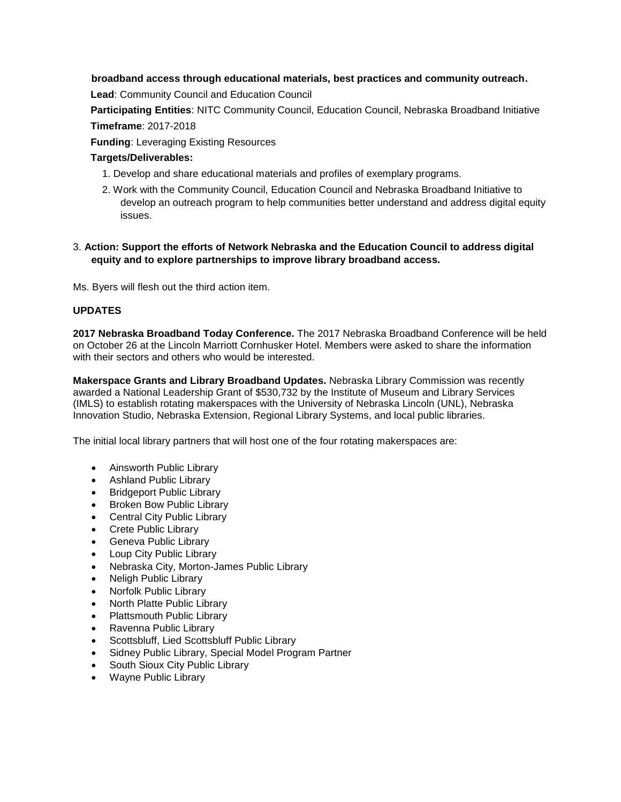# **broadband access through educational materials, best practices and community outreach.**

**Lead**: Community Council and Education Council

**Participating Entities**: NITC Community Council, Education Council, Nebraska Broadband Initiative **Timeframe**: 2017-2018

**Funding**: Leveraging Existing Resources

# **Targets/Deliverables:**

- 1. Develop and share educational materials and profiles of exemplary programs.
- 2. Work with the Community Council, Education Council and Nebraska Broadband Initiative to develop an outreach program to help communities better understand and address digital equity issues.

# 3. **Action: Support the efforts of Network Nebraska and the Education Council to address digital equity and to explore partnerships to improve library broadband access.**

Ms. Byers will flesh out the third action item.

# **UPDATES**

**2017 Nebraska Broadband Today Conference.** The 2017 Nebraska Broadband Conference will be held on October 26 at the Lincoln Marriott Cornhusker Hotel. Members were asked to share the information with their sectors and others who would be interested.

**Makerspace Grants and Library Broadband Updates.** Nebraska Library Commission was recently awarded a National Leadership Grant of \$530,732 by the Institute of Museum and Library Services (IMLS) to establish rotating makerspaces with the University of Nebraska Lincoln (UNL), Nebraska Innovation Studio, Nebraska Extension, Regional Library Systems, and local public libraries.

The initial local library partners that will host one of the four rotating makerspaces are:

- Ainsworth Public Library
- Ashland Public Library
- Bridgeport Public Library
- Broken Bow Public Library
- Central City Public Library
- Crete Public Library
- **•** Geneva Public Library
- Loup City Public Library
- Nebraska City, Morton-James Public Library
- Neligh Public Library
- Norfolk Public Library
- North Platte Public Library
- Plattsmouth Public Library
- Ravenna Public Library
- Scottsbluff, Lied Scottsbluff Public Library
- Sidney Public Library, Special Model Program Partner
- South Sioux City Public Library
- Wayne Public Library